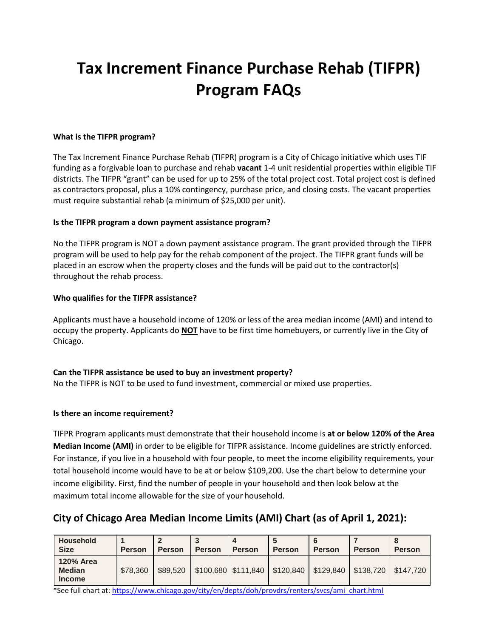# **Tax Increment Finance Purchase Rehab (TIFPR) Program FAQs**

#### **What is the TIFPR program?**

The Tax Increment Finance Purchase Rehab (TIFPR) program is a City of Chicago initiative which uses TIF funding as a forgivable loan to purchase and rehab **vacant** 1-4 unit residential properties within eligible TIF districts. The TIFPR "grant" can be used for up to 25% of the total project cost. Total project cost is defined as contractors proposal, plus a 10% contingency, purchase price, and closing costs. The vacant properties must require substantial rehab (a minimum of \$25,000 per unit).

#### **Is the TIFPR program a down payment assistance program?**

No the TIFPR program is NOT a down payment assistance program. The grant provided through the TIFPR program will be used to help pay for the rehab component of the project. The TIFPR grant funds will be placed in an escrow when the property closes and the funds will be paid out to the contractor(s) throughout the rehab process.

#### **Who qualifies for the TIFPR assistance?**

Applicants must have a household income of 120% or less of the area median income (AMI) and intend to occupy the property. Applicants do **NOT** have to be first time homebuyers, or currently live in the City of Chicago.

# **Can the TIFPR assistance be used to buy an investment property?**

No the TIFPR is NOT to be used to fund investment, commercial or mixed use properties.

#### **Is there an income requirement?**

TIFPR Program applicants must demonstrate that their household income is **at or below 120% of the Area Median Income (AMI)** in order to be eligible for TIFPR assistance. Income guidelines are strictly enforced. For instance, if you live in a household with four people, to meet the income eligibility requirements, your total household income would have to be at or below \$109,200. Use the chart below to determine your income eligibility. First, find the number of people in your household and then look below at the maximum total income allowable for the size of your household.

# **City of Chicago Area Median Income Limits (AMI) Chart (as of April 1, 2021):**

| Household<br><b>Size</b>                           | <b>Person</b> | <b>Person</b> | <b>Person</b> | <b>Person</b>                               | <b>Person</b> | <b>Person</b> | <b>Person</b>           | <b>Person</b> |
|----------------------------------------------------|---------------|---------------|---------------|---------------------------------------------|---------------|---------------|-------------------------|---------------|
| <b>120% Area</b><br><b>Median</b><br><b>Income</b> | \$78,360      | \$89,520      |               | $$100,680$ $$111,840$ $$120,840$ $$129,840$ |               |               | $\frac{1}{2}$ \$138.720 | \$147.720     |

\*See full chart at[: https://www.chicago.gov/city/en/depts/doh/provdrs/renters/svcs/ami\\_chart.html](https://www.chicago.gov/city/en/depts/doh/provdrs/renters/svcs/ami_chart.html)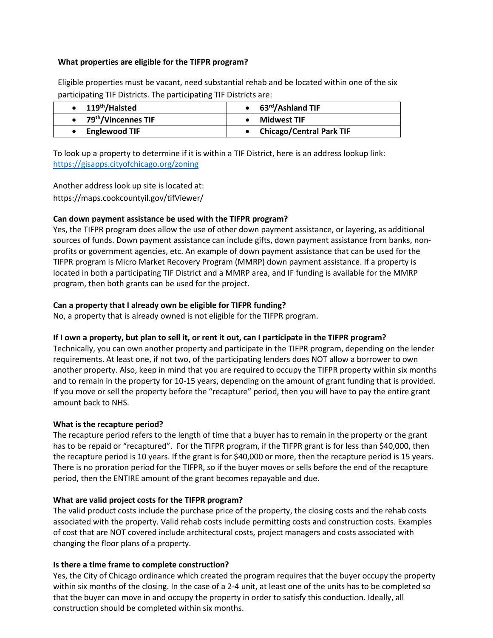#### **What properties are eligible for the TIFPR program?**

Eligible properties must be vacant, need substantial rehab and be located within one of the six participating TIF Districts. The participating TIF Districts are:

| 119 <sup>th</sup> /Halsted | $\bullet$ 63 <sup>rd</sup> /Ashland TIF |  |  |  |
|----------------------------|-----------------------------------------|--|--|--|
| • $79th/Vincennes TIF$     | Midwest TIF                             |  |  |  |
| <b>Englewood TIF</b>       | <b>Chicago/Central Park TIF</b>         |  |  |  |

To look up a property to determine if it is within a TIF District, here is an address lookup link: <https://gisapps.cityofchicago.org/zoning>

Another address look up site is located at: https://maps.cookcountyil.gov/tifViewer/

#### **Can down payment assistance be used with the TIFPR program?**

Yes, the TIFPR program does allow the use of other down payment assistance, or layering, as additional sources of funds. Down payment assistance can include gifts, down payment assistance from banks, nonprofits or government agencies, etc. An example of down payment assistance that can be used for the TIFPR program is Micro Market Recovery Program (MMRP) down payment assistance. If a property is located in both a participating TIF District and a MMRP area, and IF funding is available for the MMRP program, then both grants can be used for the project.

#### **Can a property that I already own be eligible for TIFPR funding?**

No, a property that is already owned is not eligible for the TIFPR program.

#### **If I own a property, but plan to sell it, or rent it out, can I participate in the TIFPR program?**

Technically, you can own another property and participate in the TIFPR program, depending on the lender requirements. At least one, if not two, of the participating lenders does NOT allow a borrower to own another property. Also, keep in mind that you are required to occupy the TIFPR property within six months and to remain in the property for 10-15 years, depending on the amount of grant funding that is provided. If you move or sell the property before the "recapture" period, then you will have to pay the entire grant amount back to NHS.

#### **What is the recapture period?**

The recapture period refers to the length of time that a buyer has to remain in the property or the grant has to be repaid or "recaptured". For the TIFPR program, if the TIFPR grant is for less than \$40,000, then the recapture period is 10 years. If the grant is for \$40,000 or more, then the recapture period is 15 years. There is no proration period for the TIFPR, so if the buyer moves or sells before the end of the recapture period, then the ENTIRE amount of the grant becomes repayable and due.

#### **What are valid project costs for the TIFPR program?**

The valid product costs include the purchase price of the property, the closing costs and the rehab costs associated with the property. Valid rehab costs include permitting costs and construction costs. Examples of cost that are NOT covered include architectural costs, project managers and costs associated with changing the floor plans of a property.

# **Is there a time frame to complete construction?**

Yes, the City of Chicago ordinance which created the program requires that the buyer occupy the property within six months of the closing. In the case of a 2-4 unit, at least one of the units has to be completed so that the buyer can move in and occupy the property in order to satisfy this conduction. Ideally, all construction should be completed within six months.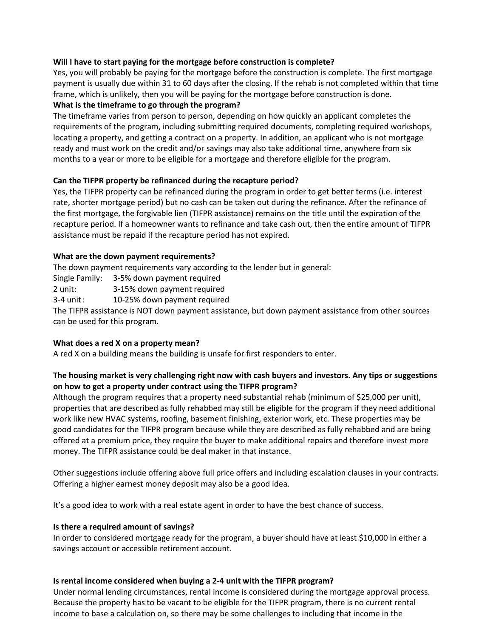#### **Will I have to start paying for the mortgage before construction is complete?**

Yes, you will probably be paying for the mortgage before the construction is complete. The first mortgage payment is usually due within 31 to 60 days after the closing. If the rehab is not completed within that time frame, which is unlikely, then you will be paying for the mortgage before construction is done.

# **What is the timeframe to go through the program?**

The timeframe varies from person to person, depending on how quickly an applicant completes the requirements of the program, including submitting required documents, completing required workshops, locating a property, and getting a contract on a property. In addition, an applicant who is not mortgage ready and must work on the credit and/or savings may also take additional time, anywhere from six months to a year or more to be eligible for a mortgage and therefore eligible for the program.

#### **Can the TIFPR property be refinanced during the recapture period?**

Yes, the TIFPR property can be refinanced during the program in order to get better terms (i.e. interest rate, shorter mortgage period) but no cash can be taken out during the refinance. After the refinance of the first mortgage, the forgivable lien (TIFPR assistance) remains on the title until the expiration of the recapture period. If a homeowner wants to refinance and take cash out, then the entire amount of TIFPR assistance must be repaid if the recapture period has not expired.

#### **What are the down payment requirements?**

The down payment requirements vary according to the lender but in general:

Single Family: 3-5% down payment required

2 unit: 3-15% down payment required

3-4 unit: 10-25% down payment required

The TIFPR assistance is NOT down payment assistance, but down payment assistance from other sources can be used for this program.

# **What does a red X on a property mean?**

A red X on a building means the building is unsafe for first responders to enter.

# **The housing market is very challenging right now with cash buyers and investors. Any tips or suggestions on how to get a property under contract using the TIFPR program?**

Although the program requires that a property need substantial rehab (minimum of \$25,000 per unit), properties that are described as fully rehabbed may still be eligible for the program if they need additional work like new HVAC systems, roofing, basement finishing, exterior work, etc. These properties may be good candidates for the TIFPR program because while they are described as fully rehabbed and are being offered at a premium price, they require the buyer to make additional repairs and therefore invest more money. The TIFPR assistance could be deal maker in that instance.

Other suggestions include offering above full price offers and including escalation clauses in your contracts. Offering a higher earnest money deposit may also be a good idea.

It's a good idea to work with a real estate agent in order to have the best chance of success.

#### **Is there a required amount of savings?**

In order to considered mortgage ready for the program, a buyer should have at least \$10,000 in either a savings account or accessible retirement account.

#### **Is rental income considered when buying a 2-4 unit with the TIFPR program?**

Under normal lending circumstances, rental income is considered during the mortgage approval process. Because the property has to be vacant to be eligible for the TIFPR program, there is no current rental income to base a calculation on, so there may be some challenges to including that income in the